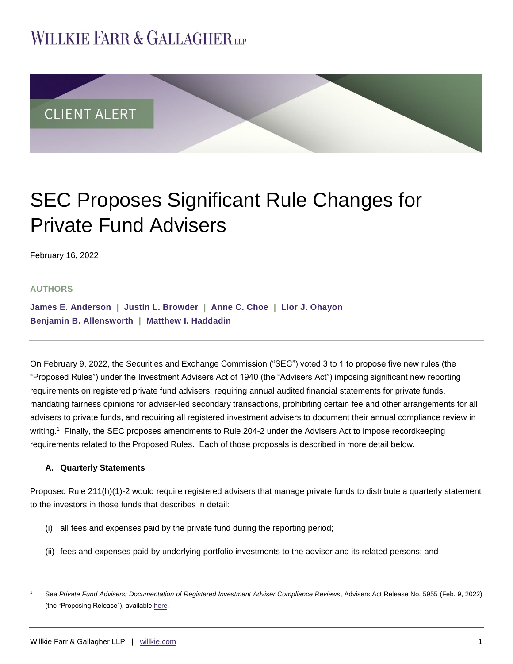# **WILLKIE FARR & GALLAGHERUP**



# SEC Proposes Significant Rule Changes for Private Fund Advisers

February 16, 2022

### **AUTHORS**

**[James E. Anderson](https://www.willkie.com/professionals/a/anderson-james) | [Justin L. Browder](https://www.willkie.com/professionals/b/browder-justin) | [Anne C. Choe](https://www.willkie.com/professionals/c/choe-anne) | [Lior J. Ohayon](https://www.willkie.com/professionals/o/ohayon-lior) [Benjamin B. Allensworth](https://www.willkie.com/professionals/a/allensworth-benjamin) | [Matthew I. Haddadin](https://www.willkie.com/professionals/h/haddadin-matthew)**

On February 9, 2022, the Securities and Exchange Commission ("SEC") voted 3 to 1 to propose five new rules (the "Proposed Rules") under the Investment Advisers Act of 1940 (the "Advisers Act") imposing significant new reporting requirements on registered private fund advisers, requiring annual audited financial statements for private funds, mandating fairness opinions for adviser-led secondary transactions, prohibiting certain fee and other arrangements for all advisers to private funds, and requiring all registered investment advisers to document their annual compliance review in writing.<sup>1</sup> Finally, the SEC proposes amendments to Rule 204-2 under the Advisers Act to impose recordkeeping requirements related to the Proposed Rules. Each of those proposals is described in more detail below.

### **A. Quarterly Statements**

Proposed Rule 211(h)(1)-2 would require registered advisers that manage private funds to distribute a quarterly statement to the investors in those funds that describes in detail:

- (i) all fees and expenses paid by the private fund during the reporting period;
- (ii) fees and expenses paid by underlying portfolio investments to the adviser and its related persons; and

<sup>1</sup> See *Private Fund Advisers; Documentation of Registered Investment Adviser Compliance Reviews*, Advisers Act Release No. 5955 (Feb. 9, 2022) (the "Proposing Release"), available [here.](https://www.sec.gov/rules/proposed/2022/ia-5955.pdf)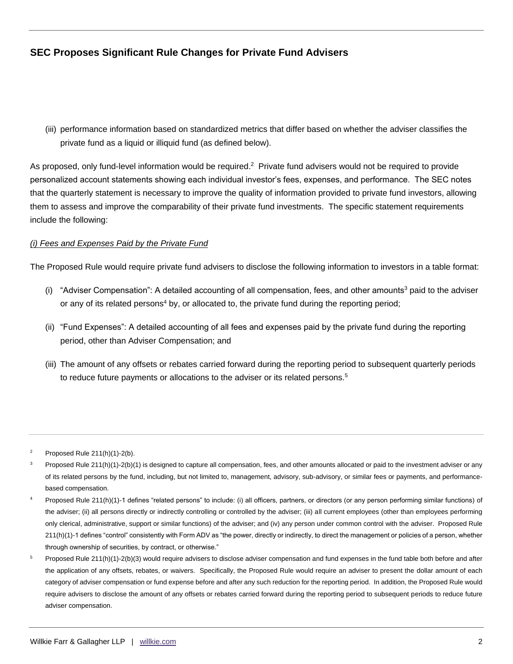(iii) performance information based on standardized metrics that differ based on whether the adviser classifies the private fund as a liquid or illiquid fund (as defined below).

As proposed, only fund-level information would be required.<sup>2</sup> Private fund advisers would not be required to provide personalized account statements showing each individual investor's fees, expenses, and performance. The SEC notes that the quarterly statement is necessary to improve the quality of information provided to private fund investors, allowing them to assess and improve the comparability of their private fund investments. The specific statement requirements include the following:

### *(i) Fees and Expenses Paid by the Private Fund*

The Proposed Rule would require private fund advisers to disclose the following information to investors in a table format:

- (i) "Adviser Compensation": A detailed accounting of all compensation, fees, and other amounts<sup>3</sup> paid to the adviser or any of its related persons<sup>4</sup> by, or allocated to, the private fund during the reporting period;
- (ii) "Fund Expenses": A detailed accounting of all fees and expenses paid by the private fund during the reporting period, other than Adviser Compensation; and
- (iii) The amount of any offsets or rebates carried forward during the reporting period to subsequent quarterly periods to reduce future payments or allocations to the adviser or its related persons.<sup>5</sup>

Proposed Rule 211(h)(1)-2(b).

Proposed Rule 211(h)(1)-2(b)(1) is designed to capture all compensation, fees, and other amounts allocated or paid to the investment adviser or any of its related persons by the fund, including, but not limited to, management, advisory, sub-advisory, or similar fees or payments, and performancebased compensation.

Proposed Rule 211(h)(1)-1 defines "related persons" to include: (i) all officers, partners, or directors (or any person performing similar functions) of the adviser; (ii) all persons directly or indirectly controlling or controlled by the adviser; (iii) all current employees (other than employees performing only clerical, administrative, support or similar functions) of the adviser; and (iv) any person under common control with the adviser. Proposed Rule 211(h)(1)-1 defines "control" consistently with Form ADV as "the power, directly or indirectly, to direct the management or policies of a person, whether through ownership of securities, by contract, or otherwise."

Proposed Rule 211(h)(1)-2(b)(3) would require advisers to disclose adviser compensation and fund expenses in the fund table both before and after the application of any offsets, rebates, or waivers. Specifically, the Proposed Rule would require an adviser to present the dollar amount of each category of adviser compensation or fund expense before and after any such reduction for the reporting period. In addition, the Proposed Rule would require advisers to disclose the amount of any offsets or rebates carried forward during the reporting period to subsequent periods to reduce future adviser compensation.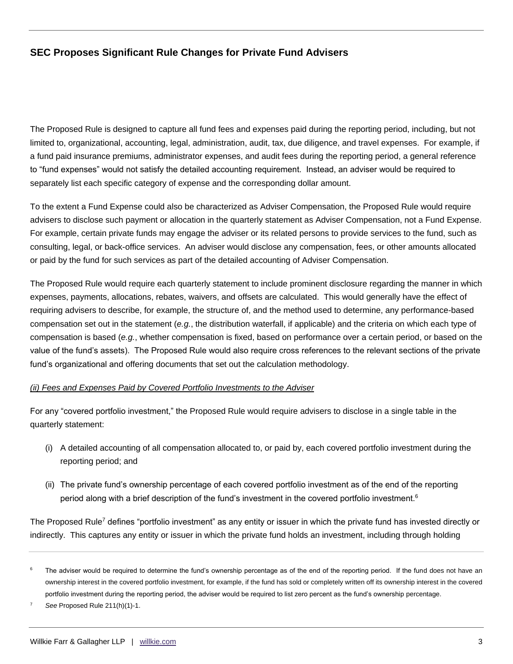The Proposed Rule is designed to capture all fund fees and expenses paid during the reporting period, including, but not limited to, organizational, accounting, legal, administration, audit, tax, due diligence, and travel expenses. For example, if a fund paid insurance premiums, administrator expenses, and audit fees during the reporting period, a general reference to "fund expenses" would not satisfy the detailed accounting requirement. Instead, an adviser would be required to separately list each specific category of expense and the corresponding dollar amount.

To the extent a Fund Expense could also be characterized as Adviser Compensation, the Proposed Rule would require advisers to disclose such payment or allocation in the quarterly statement as Adviser Compensation, not a Fund Expense. For example, certain private funds may engage the adviser or its related persons to provide services to the fund, such as consulting, legal, or back-office services. An adviser would disclose any compensation, fees, or other amounts allocated or paid by the fund for such services as part of the detailed accounting of Adviser Compensation.

The Proposed Rule would require each quarterly statement to include prominent disclosure regarding the manner in which expenses, payments, allocations, rebates, waivers, and offsets are calculated. This would generally have the effect of requiring advisers to describe, for example, the structure of, and the method used to determine, any performance-based compensation set out in the statement (*e.g.*, the distribution waterfall, if applicable) and the criteria on which each type of compensation is based (*e.g.*, whether compensation is fixed, based on performance over a certain period, or based on the value of the fund's assets). The Proposed Rule would also require cross references to the relevant sections of the private fund's organizational and offering documents that set out the calculation methodology.

#### *(ii) Fees and Expenses Paid by Covered Portfolio Investments to the Adviser*

For any "covered portfolio investment," the Proposed Rule would require advisers to disclose in a single table in the quarterly statement:

- (i) A detailed accounting of all compensation allocated to, or paid by, each covered portfolio investment during the reporting period; and
- (ii) The private fund's ownership percentage of each covered portfolio investment as of the end of the reporting period along with a brief description of the fund's investment in the covered portfolio investment.<sup>6</sup>

The Proposed Rule<sup>7</sup> defines "portfolio investment" as any entity or issuer in which the private fund has invested directly or indirectly. This captures any entity or issuer in which the private fund holds an investment, including through holding

The adviser would be required to determine the fund's ownership percentage as of the end of the reporting period. If the fund does not have an ownership interest in the covered portfolio investment, for example, if the fund has sold or completely written off its ownership interest in the covered portfolio investment during the reporting period, the adviser would be required to list zero percent as the fund's ownership percentage.

See Proposed Rule 211(h)(1)-1.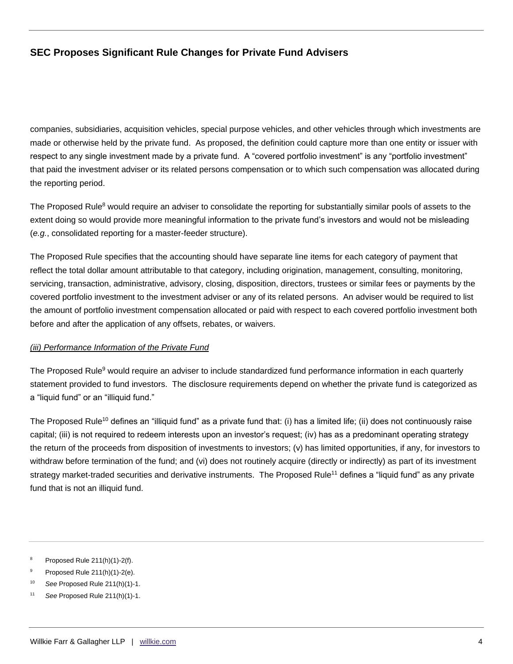companies, subsidiaries, acquisition vehicles, special purpose vehicles, and other vehicles through which investments are made or otherwise held by the private fund. As proposed, the definition could capture more than one entity or issuer with respect to any single investment made by a private fund. A "covered portfolio investment" is any "portfolio investment" that paid the investment adviser or its related persons compensation or to which such compensation was allocated during the reporting period.

The Proposed Rule<sup>8</sup> would require an adviser to consolidate the reporting for substantially similar pools of assets to the extent doing so would provide more meaningful information to the private fund's investors and would not be misleading (*e.g.*, consolidated reporting for a master-feeder structure).

The Proposed Rule specifies that the accounting should have separate line items for each category of payment that reflect the total dollar amount attributable to that category, including origination, management, consulting, monitoring, servicing, transaction, administrative, advisory, closing, disposition, directors, trustees or similar fees or payments by the covered portfolio investment to the investment adviser or any of its related persons. An adviser would be required to list the amount of portfolio investment compensation allocated or paid with respect to each covered portfolio investment both before and after the application of any offsets, rebates, or waivers.

### *(iii) Performance Information of the Private Fund*

The Proposed Rule<sup>9</sup> would require an adviser to include standardized fund performance information in each quarterly statement provided to fund investors. The disclosure requirements depend on whether the private fund is categorized as a "liquid fund" or an "illiquid fund."

The Proposed Rule<sup>10</sup> defines an "illiquid fund" as a private fund that: (i) has a limited life; (ii) does not continuously raise capital; (iii) is not required to redeem interests upon an investor's request; (iv) has as a predominant operating strategy the return of the proceeds from disposition of investments to investors; (v) has limited opportunities, if any, for investors to withdraw before termination of the fund; and (vi) does not routinely acquire (directly or indirectly) as part of its investment strategy market-traded securities and derivative instruments. The Proposed Rule<sup>11</sup> defines a "liquid fund" as any private fund that is not an illiquid fund.

<sup>10</sup> *See* Proposed Rule 211(h)(1)-1.

<sup>&</sup>lt;sup>8</sup> Proposed Rule  $211(h)(1)-2(f)$ .

Proposed Rule 211(h)(1)-2(e).

<sup>11</sup> *See* Proposed Rule 211(h)(1)-1.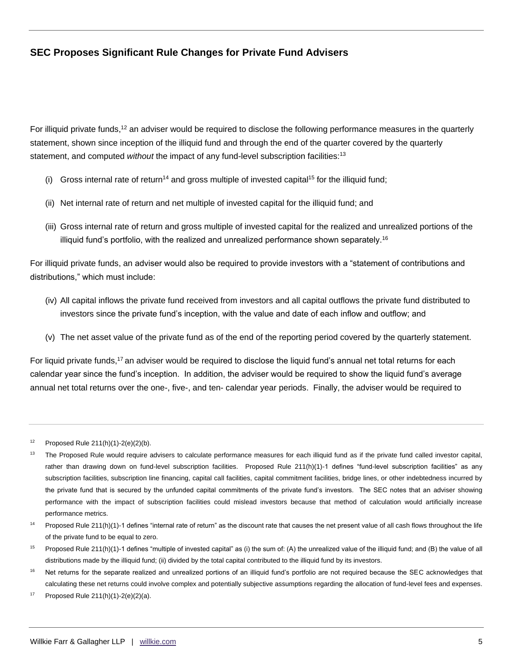For illiquid private funds,<sup>12</sup> an adviser would be required to disclose the following performance measures in the quarterly statement, shown since inception of the illiquid fund and through the end of the quarter covered by the quarterly statement, and computed *without* the impact of any fund-level subscription facilities:<sup>13</sup>

- (i) Gross internal rate of return<sup>14</sup> and gross multiple of invested capital<sup>15</sup> for the illiquid fund;
- (ii) Net internal rate of return and net multiple of invested capital for the illiquid fund; and
- (iii) Gross internal rate of return and gross multiple of invested capital for the realized and unrealized portions of the illiquid fund's portfolio, with the realized and unrealized performance shown separately.<sup>16</sup>

For illiquid private funds, an adviser would also be required to provide investors with a "statement of contributions and distributions," which must include:

- (iv) All capital inflows the private fund received from investors and all capital outflows the private fund distributed to investors since the private fund's inception, with the value and date of each inflow and outflow; and
- (v) The net asset value of the private fund as of the end of the reporting period covered by the quarterly statement.

For liquid private funds,<sup>17</sup> an adviser would be required to disclose the liquid fund's annual net total returns for each calendar year since the fund's inception. In addition, the adviser would be required to show the liquid fund's average annual net total returns over the one-, five-, and ten- calendar year periods. Finally, the adviser would be required to

 $12$  Proposed Rule 211(h)(1)-2(e)(2)(b).

<sup>&</sup>lt;sup>13</sup> The Proposed Rule would require advisers to calculate performance measures for each illiquid fund as if the private fund called investor capital, rather than drawing down on fund-level subscription facilities. Proposed Rule 211(h)(1)-1 defines "fund-level subscription facilities" as any subscription facilities, subscription line financing, capital call facilities, capital commitment facilities, bridge lines, or other indebtedness incurred by the private fund that is secured by the unfunded capital commitments of the private fund's investors. The SEC notes that an adviser showing performance with the impact of subscription facilities could mislead investors because that method of calculation would artificially increase performance metrics.

<sup>&</sup>lt;sup>14</sup> Proposed Rule 211(h)(1)-1 defines "internal rate of return" as the discount rate that causes the net present value of all cash flows throughout the life of the private fund to be equal to zero.

<sup>&</sup>lt;sup>15</sup> Proposed Rule 211(h)(1)-1 defines "multiple of invested capital" as (i) the sum of: (A) the unrealized value of the illiquid fund; and (B) the value of all distributions made by the illiquid fund; (ii) divided by the total capital contributed to the illiquid fund by its investors.

<sup>&</sup>lt;sup>16</sup> Net returns for the separate realized and unrealized portions of an illiquid fund's portfolio are not required because the SEC acknowledges that calculating these net returns could involve complex and potentially subjective assumptions regarding the allocation of fund-level fees and expenses.

 $17$  Proposed Rule 211(h)(1)-2(e)(2)(a).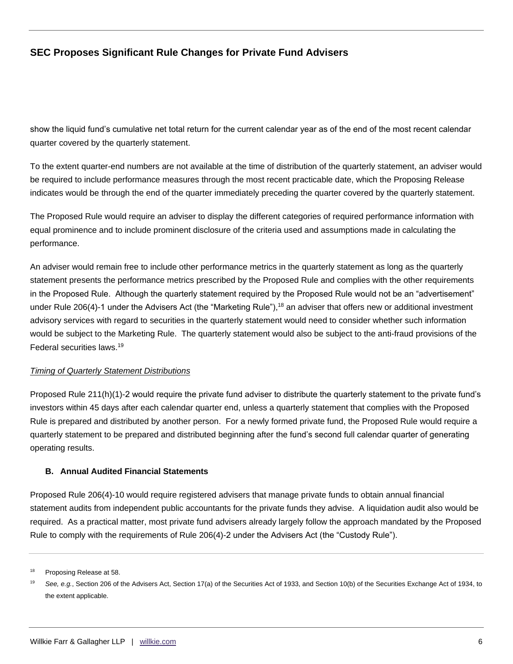show the liquid fund's cumulative net total return for the current calendar year as of the end of the most recent calendar quarter covered by the quarterly statement.

To the extent quarter-end numbers are not available at the time of distribution of the quarterly statement, an adviser would be required to include performance measures through the most recent practicable date, which the Proposing Release indicates would be through the end of the quarter immediately preceding the quarter covered by the quarterly statement.

The Proposed Rule would require an adviser to display the different categories of required performance information with equal prominence and to include prominent disclosure of the criteria used and assumptions made in calculating the performance.

An adviser would remain free to include other performance metrics in the quarterly statement as long as the quarterly statement presents the performance metrics prescribed by the Proposed Rule and complies with the other requirements in the Proposed Rule. Although the quarterly statement required by the Proposed Rule would not be an "advertisement" under Rule 206(4)-1 under the Advisers Act (the "Marketing Rule"),<sup>18</sup> an adviser that offers new or additional investment advisory services with regard to securities in the quarterly statement would need to consider whether such information would be subject to the Marketing Rule. The quarterly statement would also be subject to the anti-fraud provisions of the Federal securities laws.<sup>19</sup>

### *Timing of Quarterly Statement Distributions*

Proposed Rule 211(h)(1)-2 would require the private fund adviser to distribute the quarterly statement to the private fund's investors within 45 days after each calendar quarter end, unless a quarterly statement that complies with the Proposed Rule is prepared and distributed by another person. For a newly formed private fund, the Proposed Rule would require a quarterly statement to be prepared and distributed beginning after the fund's second full calendar quarter of generating operating results.

#### **B. Annual Audited Financial Statements**

Proposed Rule 206(4)-10 would require registered advisers that manage private funds to obtain annual financial statement audits from independent public accountants for the private funds they advise. A liquidation audit also would be required. As a practical matter, most private fund advisers already largely follow the approach mandated by the Proposed Rule to comply with the requirements of Rule 206(4)-2 under the Advisers Act (the "Custody Rule").

<sup>&</sup>lt;sup>18</sup> Proposing Release at 58.

<sup>19</sup> *See, e.g.*, Section 206 of the Advisers Act, Section 17(a) of the Securities Act of 1933, and Section 10(b) of the Securities Exchange Act of 1934, to the extent applicable.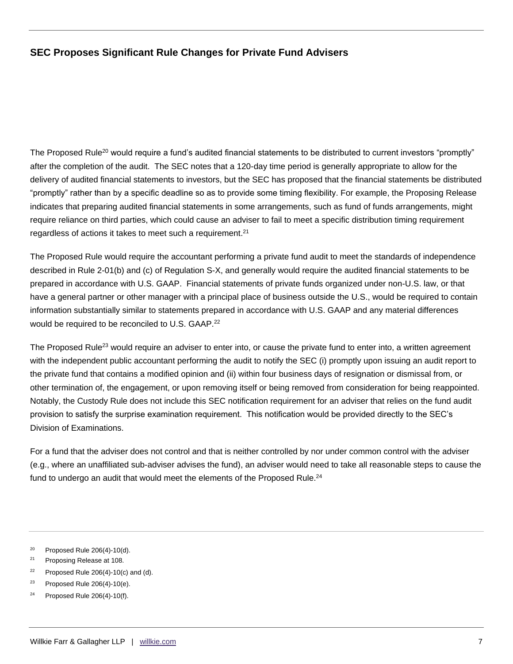The Proposed Rule<sup>20</sup> would require a fund's audited financial statements to be distributed to current investors "promptly" after the completion of the audit. The SEC notes that a 120-day time period is generally appropriate to allow for the delivery of audited financial statements to investors, but the SEC has proposed that the financial statements be distributed "promptly" rather than by a specific deadline so as to provide some timing flexibility. For example, the Proposing Release indicates that preparing audited financial statements in some arrangements, such as fund of funds arrangements, might require reliance on third parties, which could cause an adviser to fail to meet a specific distribution timing requirement regardless of actions it takes to meet such a requirement. $21$ 

The Proposed Rule would require the accountant performing a private fund audit to meet the standards of independence described in Rule 2-01(b) and (c) of Regulation S-X, and generally would require the audited financial statements to be prepared in accordance with U.S. GAAP. Financial statements of private funds organized under non-U.S. law, or that have a general partner or other manager with a principal place of business outside the U.S., would be required to contain information substantially similar to statements prepared in accordance with U.S. GAAP and any material differences would be required to be reconciled to U.S. GAAP.<sup>22</sup>

The Proposed Rule<sup>23</sup> would require an adviser to enter into, or cause the private fund to enter into, a written agreement with the independent public accountant performing the audit to notify the SEC (i) promptly upon issuing an audit report to the private fund that contains a modified opinion and (ii) within four business days of resignation or dismissal from, or other termination of, the engagement, or upon removing itself or being removed from consideration for being reappointed. Notably, the Custody Rule does not include this SEC notification requirement for an adviser that relies on the fund audit provision to satisfy the surprise examination requirement. This notification would be provided directly to the SEC's Division of Examinations.

For a fund that the adviser does not control and that is neither controlled by nor under common control with the adviser (e.g., where an unaffiliated sub-adviser advises the fund), an adviser would need to take all reasonable steps to cause the fund to undergo an audit that would meet the elements of the Proposed Rule. $^{24}$ 

- <sup>21</sup> Proposing Release at 108.
- $22$  Proposed Rule 206(4)-10(c) and (d).
- <sup>23</sup> Proposed Rule  $206(4)-10(e)$ .
- $24$  Proposed Rule 206(4)-10(f).

<sup>&</sup>lt;sup>20</sup> Proposed Rule  $206(4)$ -10(d).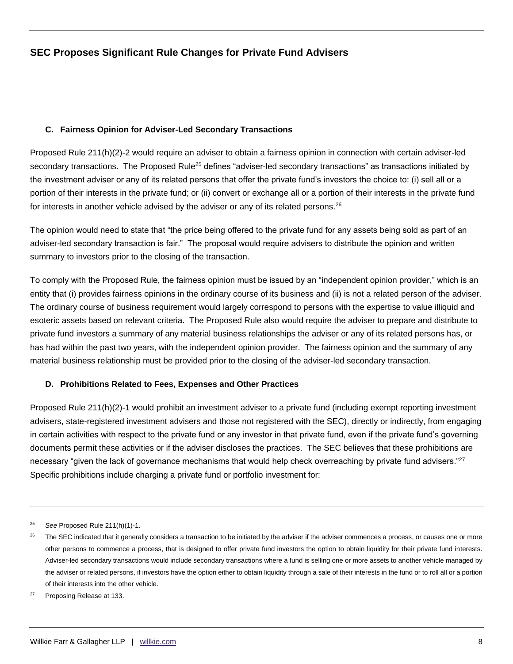#### **C. Fairness Opinion for Adviser-Led Secondary Transactions**

Proposed Rule 211(h)(2)-2 would require an adviser to obtain a fairness opinion in connection with certain adviser-led secondary transactions. The Proposed Rule<sup>25</sup> defines "adviser-led secondary transactions" as transactions initiated by the investment adviser or any of its related persons that offer the private fund's investors the choice to: (i) sell all or a portion of their interests in the private fund; or (ii) convert or exchange all or a portion of their interests in the private fund for interests in another vehicle advised by the adviser or any of its related persons.<sup>26</sup>

The opinion would need to state that "the price being offered to the private fund for any assets being sold as part of an adviser-led secondary transaction is fair." The proposal would require advisers to distribute the opinion and written summary to investors prior to the closing of the transaction.

To comply with the Proposed Rule, the fairness opinion must be issued by an "independent opinion provider," which is an entity that (i) provides fairness opinions in the ordinary course of its business and (ii) is not a related person of the adviser. The ordinary course of business requirement would largely correspond to persons with the expertise to value illiquid and esoteric assets based on relevant criteria. The Proposed Rule also would require the adviser to prepare and distribute to private fund investors a summary of any material business relationships the adviser or any of its related persons has, or has had within the past two years, with the independent opinion provider. The fairness opinion and the summary of any material business relationship must be provided prior to the closing of the adviser-led secondary transaction.

### **D. Prohibitions Related to Fees, Expenses and Other Practices**

Proposed Rule 211(h)(2)-1 would prohibit an investment adviser to a private fund (including exempt reporting investment advisers, state-registered investment advisers and those not registered with the SEC), directly or indirectly, from engaging in certain activities with respect to the private fund or any investor in that private fund, even if the private fund's governing documents permit these activities or if the adviser discloses the practices. The SEC believes that these prohibitions are necessary "given the lack of governance mechanisms that would help check overreaching by private fund advisers."<sup>27</sup> Specific prohibitions include charging a private fund or portfolio investment for:

<sup>25</sup> *See* Proposed Rule 211(h)(1)-1.

<sup>&</sup>lt;sup>26</sup> The SEC indicated that it generally considers a transaction to be initiated by the adviser if the adviser commences a process, or causes one or more other persons to commence a process, that is designed to offer private fund investors the option to obtain liquidity for their private fund interests. Adviser-led secondary transactions would include secondary transactions where a fund is selling one or more assets to another vehicle managed by the adviser or related persons, if investors have the option either to obtain liquidity through a sale of their interests in the fund or to roll all or a portion of their interests into the other vehicle.

<sup>27</sup> Proposing Release at 133.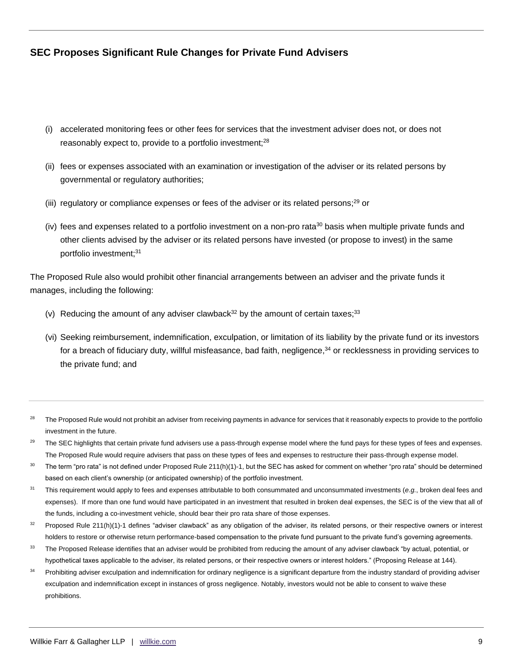- (i) accelerated monitoring fees or other fees for services that the investment adviser does not, or does not reasonably expect to, provide to a portfolio investment;<sup>28</sup>
- (ii) fees or expenses associated with an examination or investigation of the adviser or its related persons by governmental or regulatory authorities;
- (iii) regulatory or compliance expenses or fees of the adviser or its related persons;<sup>29</sup> or
- (iv) fees and expenses related to a portfolio investment on a non-pro rata<sup>30</sup> basis when multiple private funds and other clients advised by the adviser or its related persons have invested (or propose to invest) in the same portfolio investment;<sup>31</sup>

The Proposed Rule also would prohibit other financial arrangements between an adviser and the private funds it manages, including the following:

- (v) Reducing the amount of any adviser clawback<sup>32</sup> by the amount of certain taxes;<sup>33</sup>
- (vi) Seeking reimbursement, indemnification, exculpation, or limitation of its liability by the private fund or its investors for a breach of fiduciary duty, willful misfeasance, bad faith, negligence,<sup>34</sup> or recklessness in providing services to the private fund; and
- <sup>28</sup> The Proposed Rule would not prohibit an adviser from receiving payments in advance for services that it reasonably expects to provide to the portfolio investment in the future.
- <sup>29</sup> The SEC highlights that certain private fund advisers use a pass-through expense model where the fund pays for these types of fees and expenses. The Proposed Rule would require advisers that pass on these types of fees and expenses to restructure their pass-through expense model.
- <sup>30</sup> The term "pro rata" is not defined under Proposed Rule 211(h)(1)-1, but the SEC has asked for comment on whether "pro rata" should be determined based on each client's ownership (or anticipated ownership) of the portfolio investment.
- <sup>31</sup> This requirement would apply to fees and expenses attributable to both consummated and unconsummated investments (*e.g.*, broken deal fees and expenses). If more than one fund would have participated in an investment that resulted in broken deal expenses, the SEC is of the view that all of the funds, including a co-investment vehicle, should bear their pro rata share of those expenses.
- $32$  Proposed Rule 211(h)(1)-1 defines "adviser clawback" as any obligation of the adviser, its related persons, or their respective owners or interest holders to restore or otherwise return performance-based compensation to the private fund pursuant to the private fund's governing agreements.
- <sup>33</sup> The Proposed Release identifies that an adviser would be prohibited from reducing the amount of any adviser clawback "by actual, potential, or hypothetical taxes applicable to the adviser, its related persons, or their respective owners or interest holders." (Proposing Release at 144).
- <sup>34</sup> Prohibiting adviser exculpation and indemnification for ordinary negligence is a significant departure from the industry standard of providing adviser exculpation and indemnification except in instances of gross negligence. Notably, investors would not be able to consent to waive these prohibitions.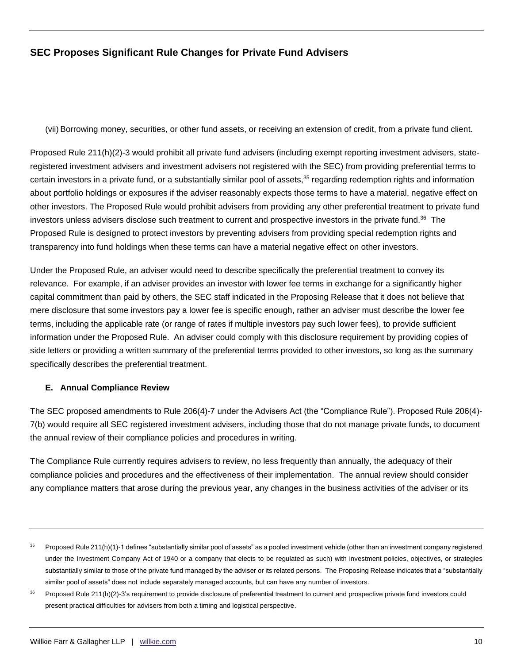(vii) Borrowing money, securities, or other fund assets, or receiving an extension of credit, from a private fund client.

Proposed Rule 211(h)(2)-3 would prohibit all private fund advisers (including exempt reporting investment advisers, stateregistered investment advisers and investment advisers not registered with the SEC) from providing preferential terms to certain investors in a private fund, or a substantially similar pool of assets,<sup>35</sup> regarding redemption rights and information about portfolio holdings or exposures if the adviser reasonably expects those terms to have a material, negative effect on other investors. The Proposed Rule would prohibit advisers from providing any other preferential treatment to private fund investors unless advisers disclose such treatment to current and prospective investors in the private fund.<sup>36</sup> The Proposed Rule is designed to protect investors by preventing advisers from providing special redemption rights and transparency into fund holdings when these terms can have a material negative effect on other investors.

Under the Proposed Rule, an adviser would need to describe specifically the preferential treatment to convey its relevance. For example, if an adviser provides an investor with lower fee terms in exchange for a significantly higher capital commitment than paid by others, the SEC staff indicated in the Proposing Release that it does not believe that mere disclosure that some investors pay a lower fee is specific enough, rather an adviser must describe the lower fee terms, including the applicable rate (or range of rates if multiple investors pay such lower fees), to provide sufficient information under the Proposed Rule. An adviser could comply with this disclosure requirement by providing copies of side letters or providing a written summary of the preferential terms provided to other investors, so long as the summary specifically describes the preferential treatment.

### **E. Annual Compliance Review**

The SEC proposed amendments to Rule 206(4)-7 under the Advisers Act (the "Compliance Rule"). Proposed Rule 206(4)- 7(b) would require all SEC registered investment advisers, including those that do not manage private funds, to document the annual review of their compliance policies and procedures in writing.

The Compliance Rule currently requires advisers to review, no less frequently than annually, the adequacy of their compliance policies and procedures and the effectiveness of their implementation. The annual review should consider any compliance matters that arose during the previous year, any changes in the business activities of the adviser or its

 $35$  Proposed Rule 211(h)(1)-1 defines "substantially similar pool of assets" as a pooled investment vehicle (other than an investment company registered under the Investment Company Act of 1940 or a company that elects to be regulated as such) with investment policies, objectives, or strategies substantially similar to those of the private fund managed by the adviser or its related persons. The Proposing Release indicates that a "substantially similar pool of assets" does not include separately managed accounts, but can have any number of investors.

<sup>&</sup>lt;sup>36</sup> Proposed Rule 211(h)(2)-3's requirement to provide disclosure of preferential treatment to current and prospective private fund investors could present practical difficulties for advisers from both a timing and logistical perspective.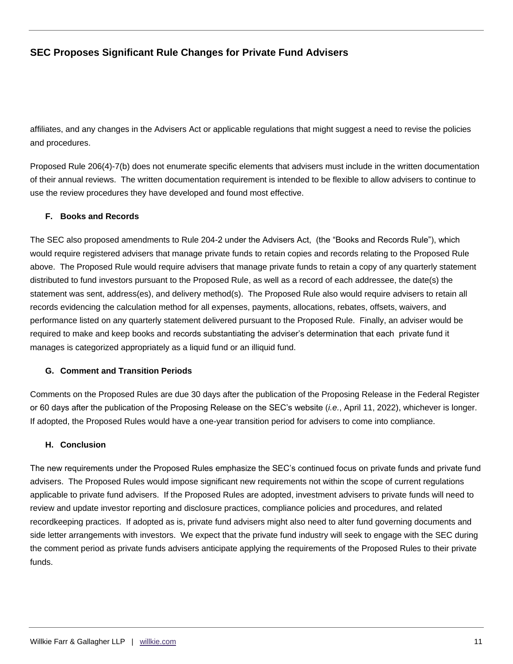affiliates, and any changes in the Advisers Act or applicable regulations that might suggest a need to revise the policies and procedures.

Proposed Rule 206(4)-7(b) does not enumerate specific elements that advisers must include in the written documentation of their annual reviews. The written documentation requirement is intended to be flexible to allow advisers to continue to use the review procedures they have developed and found most effective.

### **F. Books and Records**

The SEC also proposed amendments to Rule 204-2 under the Advisers Act, (the "Books and Records Rule"), which would require registered advisers that manage private funds to retain copies and records relating to the Proposed Rule above. The Proposed Rule would require advisers that manage private funds to retain a copy of any quarterly statement distributed to fund investors pursuant to the Proposed Rule, as well as a record of each addressee, the date(s) the statement was sent, address(es), and delivery method(s). The Proposed Rule also would require advisers to retain all records evidencing the calculation method for all expenses, payments, allocations, rebates, offsets, waivers, and performance listed on any quarterly statement delivered pursuant to the Proposed Rule. Finally, an adviser would be required to make and keep books and records substantiating the adviser's determination that each private fund it manages is categorized appropriately as a liquid fund or an illiquid fund.

### **G. Comment and Transition Periods**

Comments on the Proposed Rules are due 30 days after the publication of the Proposing Release in the Federal Register or 60 days after the publication of the Proposing Release on the SEC's website (*i.e.*, April 11, 2022), whichever is longer. If adopted, the Proposed Rules would have a one-year transition period for advisers to come into compliance.

### **H. Conclusion**

The new requirements under the Proposed Rules emphasize the SEC's continued focus on private funds and private fund advisers. The Proposed Rules would impose significant new requirements not within the scope of current regulations applicable to private fund advisers. If the Proposed Rules are adopted, investment advisers to private funds will need to review and update investor reporting and disclosure practices, compliance policies and procedures, and related recordkeeping practices. If adopted as is, private fund advisers might also need to alter fund governing documents and side letter arrangements with investors. We expect that the private fund industry will seek to engage with the SEC during the comment period as private funds advisers anticipate applying the requirements of the Proposed Rules to their private funds.